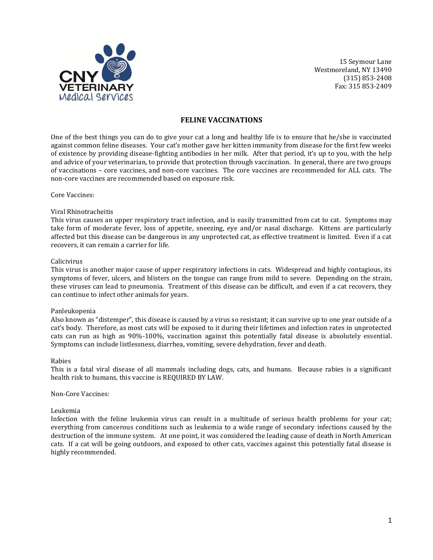

#### **FELINE VACCINATIONS**

One of the best things you can do to give your cat a long and healthy life is to ensure that he/she is vaccinated against common feline diseases. Your cat's mother gave her kitten immunity from disease for the first few weeks of existence by providing disease-fighting antibodies in her milk. After that period, it's up to you, with the help and advice of your veterinarian, to provide that protection through vaccination. In general, there are two groups of vaccinations – core vaccines, and non-core vaccines. The core vaccines are recommended for ALL cats. The non-core vaccines are recommended based on exposure risk.

Core Vaccines:

#### Viral Rhinotracheitis

This virus causes an upper respiratory tract infection, and is easily transmitted from cat to cat. Symptoms may take form of moderate fever, loss of appetite, sneezing, eye and/or nasal discharge. Kittens are particularly affected but this disease can be dangerous in any unprotected cat, as effective treatment is limited. Even if a cat recovers, it can remain a carrier for life.

#### Calicivirus

This virus is another major cause of upper respiratory infections in cats. Widespread and highly contagious, its symptoms of fever, ulcers, and blisters on the tongue can range from mild to severe. Depending on the strain, these viruses can lead to pneumonia. Treatment of this disease can be difficult, and even if a cat recovers, they can continue to infect other animals for years.

#### Panleukopenia

Also known as "distemper", this disease is caused by a virus so resistant; it can survive up to one year outside of a cat's body. Therefore, as most cats will be exposed to it during their lifetimes and infection rates in unprotected cats can run as high as 90%-100%, vaccination against this potentially fatal disease is absolutely essential. Symptoms can include listlessness, diarrhea, vomiting, severe dehydration, fever and death.

#### Rabies

This is a fatal viral disease of all mammals including dogs, cats, and humans. Because rabies is a significant health risk to humans, this vaccine is REQUIRED BY LAW.

#### Non-Core Vaccines:

#### Leukemia

Infection with the feline leukemia virus can result in a multitude of serious health problems for your cat; everything from cancerous conditions such as leukemia to a wide range of secondary infections caused by the destruction of the immune system. At one point, it was considered the leading cause of death in North American cats. If a cat will be going outdoors, and exposed to other cats, vaccines against this potentially fatal disease is highly recommended.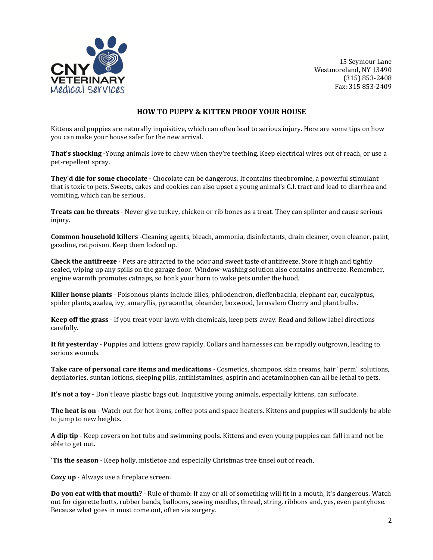

### **HOW TO PUPPY & KITTEN PROOF YOUR HOUSE**

Kittens and puppies are naturally inquisitive, which can often lead to serious injury. Here are some tips on how you can make your house safer for the new arrival.

**That's shocking** -Young animals love to chew when they're teething. Keep electrical wires out of reach, or use a pet-repellent spray.

**They'd die for some chocolate** - Chocolate can be dangerous. It contains theobromine, a powerful stimulant that is toxic to pets. Sweets, cakes and cookies can also upset a young animal's G.I. tract and lead to diarrhea and vomiting, which can be serious.

**Treats can be threats** - Never give turkey, chicken or rib bones as a treat. They can splinter and cause serious injury.

**Common household killers** -Cleaning agents, bleach, ammonia, disinfectants, drain cleaner, oven cleaner, paint, gasoline, rat poison. Keep them locked up.

**Check the antifreeze** - Pets are attracted to the odor and sweet taste of antifreeze. Store it high and tightly sealed, wiping up any spills on the garage floor. Window-washing solution also contains antifreeze. Remember, engine warmth promotes catnaps, so honk your horn to wake pets under the hood.

**Killer house plants** - Poisonous plants include lilies, philodendron, dieffenbachia, elephant ear, eucalyptus, spider plants, azalea, ivy, amaryllis, pyracantha, oleander, boxwood, Jerusalem Cherry and plant bulbs.

**Keep off the grass** - If you treat your lawn with chemicals, keep pets away. Read and follow label directions carefully.

**It fit yesterday** - Puppies and kittens grow rapidly. Collars and harnesses can be rapidly outgrown, leading to serious wounds.

**Take care of personal care items and medications** - Cosmetics, shampoos, skin creams, hair "perm" solutions, depilatories, suntan lotions, sleeping pills, antihistamines, aspirin and acetaminophen can all be lethal to pets.

**It's not a toy** - Don't leave plastic bags out. Inquisitive young animals, especially kittens, can suffocate.

**The heat is on** - Watch out for hot irons, coffee pots and space heaters. Kittens and puppies will suddenly be able to jump to new heights.

**A dip tip** - Keep covers on hot tubs and swimming pools. Kittens and even young puppies can fall in and not be able to get out.

**'Tis the season** - Keep holly, mistletoe and especially Christmas tree tinsel out of reach.

**Cozy up** - Always use a fireplace screen.

**Do you eat with that mouth?** - Rule of thumb: If any or all of something will fit in a mouth, it's dangerous. Watch out for cigarette butts, rubber bands, balloons, sewing needles, thread, string, ribbons and, yes, even pantyhose. Because what goes in must come out, often via surgery.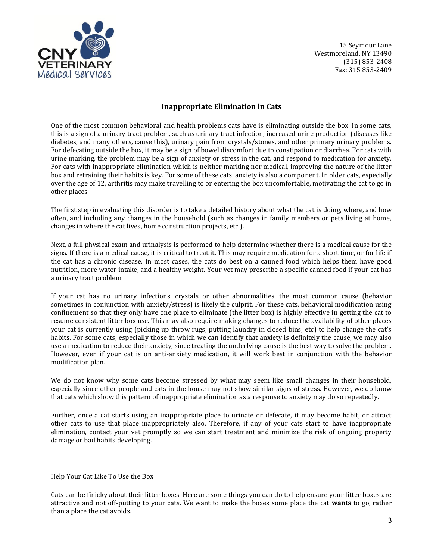

# **Inappropriate Elimination in Cats**

One of the most common behavioral and health problems cats have is eliminating outside the box. In some cats, this is a sign of a urinary tract problem, such as urinary tract infection, increased urine production (diseases like diabetes, and many others, cause this), urinary pain from crystals/stones, and other primary urinary problems. For defecating outside the box, it may be a sign of bowel discomfort due to constipation or diarrhea. For cats with urine marking, the problem may be a sign of anxiety or stress in the cat, and respond to medication for anxiety. For cats with inappropriate elimination which is neither marking nor medical, improving the nature of the litter box and retraining their habits is key. For some of these cats, anxiety is also a component. In older cats, especially over the age of 12, arthritis may make travelling to or entering the box uncomfortable, motivating the cat to go in other places.

The first step in evaluating this disorder is to take a detailed history about what the cat is doing, where, and how often, and including any changes in the household (such as changes in family members or pets living at home, changes in where the cat lives, home construction projects, etc.).

Next, a full physical exam and urinalysis is performed to help determine whether there is a medical cause for the signs. If there is a medical cause, it is critical to treat it. This may require medication for a short time, or for life if the cat has a chronic disease. In most cases, the cats do best on a canned food which helps them have good nutrition, more water intake, and a healthy weight. Your vet may prescribe a specific canned food if your cat has a urinary tract problem.

If your cat has no urinary infections, crystals or other abnormalities, the most common cause (behavior sometimes in conjunction with anxiety/stress) is likely the culprit. For these cats, behavioral modification using confinement so that they only have one place to eliminate (the litter box) is highly effective in getting the cat to resume consistent litter box use. This may also require making changes to reduce the availability of other places your cat is currently using (picking up throw rugs, putting laundry in closed bins, etc) to help change the cat's habits. For some cats, especially those in which we can identify that anxiety is definitely the cause, we may also use a medication to reduce their anxiety, since treating the underlying cause is the best way to solve the problem. However, even if your cat is on anti-anxiety medication, it will work best in conjunction with the behavior modification plan.

We do not know why some cats become stressed by what may seem like small changes in their household, especially since other people and cats in the house may not show similar signs of stress. However, we do know that cats which show this pattern of inappropriate elimination as a response to anxiety may do so repeatedly.

Further, once a cat starts using an inappropriate place to urinate or defecate, it may become habit, or attract other cats to use that place inappropriately also. Therefore, if any of your cats start to have inappropriate elimination, contact your vet promptly so we can start treatment and minimize the risk of ongoing property damage or bad habits developing.

Help Your Cat Like To Use the Box

Cats can be finicky about their litter boxes. Here are some things you can do to help ensure your litter boxes are attractive and not off-putting to your cats. We want to make the boxes some place the cat **wants** to go, rather than a place the cat avoids.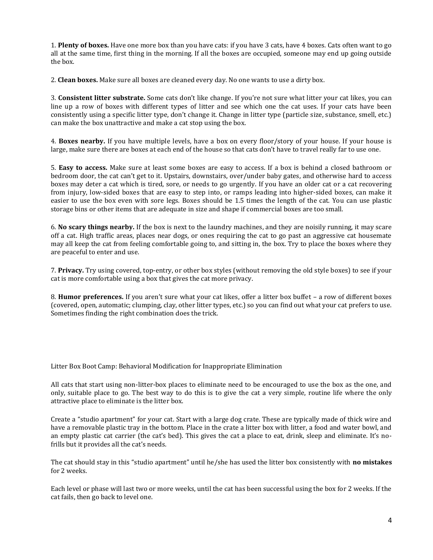1. **Plenty of boxes.** Have one more box than you have cats: if you have 3 cats, have 4 boxes. Cats often want to go all at the same time, first thing in the morning. If all the boxes are occupied, someone may end up going outside the box.

2. **Clean boxes.** Make sure all boxes are cleaned every day. No one wants to use a dirty box.

3. **Consistent litter substrate.** Some cats don't like change. If you're not sure what litter your cat likes, you can line up a row of boxes with different types of litter and see which one the cat uses. If your cats have been consistently using a specific litter type, don't change it. Change in litter type (particle size, substance, smell, etc.) can make the box unattractive and make a cat stop using the box.

4. **Boxes nearby.** If you have multiple levels, have a box on every floor/story of your house. If your house is large, make sure there are boxes at each end of the house so that cats don't have to travel really far to use one.

5. **Easy to access.** Make sure at least some boxes are easy to access. If a box is behind a closed bathroom or bedroom door, the cat can't get to it. Upstairs, downstairs, over/under baby gates, and otherwise hard to access boxes may deter a cat which is tired, sore, or needs to go urgently. If you have an older cat or a cat recovering from injury, low-sided boxes that are easy to step into, or ramps leading into higher-sided boxes, can make it easier to use the box even with sore legs. Boxes should be 1.5 times the length of the cat. You can use plastic storage bins or other items that are adequate in size and shape if commercial boxes are too small.

6. **No scary things nearby.** If the box is next to the laundry machines, and they are noisily running, it may scare off a cat. High traffic areas, places near dogs, or ones requiring the cat to go past an aggressive cat housemate may all keep the cat from feeling comfortable going to, and sitting in, the box. Try to place the boxes where they are peaceful to enter and use.

7. **Privacy.** Try using covered, top-entry, or other box styles (without removing the old style boxes) to see if your cat is more comfortable using a box that gives the cat more privacy.

8. **Humor preferences.** If you aren't sure what your cat likes, offer a litter box buffet – a row of different boxes (covered, open, automatic; clumping, clay, other litter types, etc.) so you can find out what your cat prefers to use. Sometimes finding the right combination does the trick.

Litter Box Boot Camp: Behavioral Modification for Inappropriate Elimination

All cats that start using non-litter-box places to eliminate need to be encouraged to use the box as the one, and only, suitable place to go. The best way to do this is to give the cat a very simple, routine life where the only attractive place to eliminate is the litter box.

Create a "studio apartment" for your cat. Start with a large dog crate. These are typically made of thick wire and have a removable plastic tray in the bottom. Place in the crate a litter box with litter, a food and water bowl, and an empty plastic cat carrier (the cat's bed). This gives the cat a place to eat, drink, sleep and eliminate. It's nofrills but it provides all the cat's needs.

The cat should stay in this "studio apartment" until he/she has used the litter box consistently with **no mistakes** for 2 weeks.

Each level or phase will last two or more weeks, until the cat has been successful using the box for 2 weeks. If the cat fails, then go back to level one.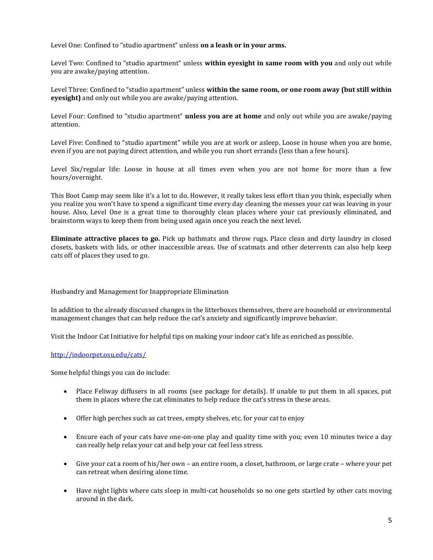Level One: Confined to "studio apartment" unless **on a leash or in your arms.**

Level Two: Confined to "studio apartment" unless **within eyesight in same room with you** and only out while you are awake/paying attention.

Level Three: Confined to "studio apartment" unless **within the same room, or one room away (but still within eyesight)** and only out while you are awake/paying attention.

Level Four: Confined to "studio apartment" **unless you are at home** and only out while you are awake/paying attention.

Level Five: Confined to "studio apartment" while you are at work or asleep. Loose in house when you are home, even if you are not paying direct attention, and while you run short errands (less than a few hours).

Level Six/regular life: Loose in house at all times even when you are not home for more than a few hours/overnight.

This Boot Camp may seem like it's a lot to do. However, it really takes less effort than you think, especially when you realize you won't have to spend a significant time every day cleaning the messes your cat was leaving in your house. Also, Level One is a great time to thoroughly clean places where your cat previously eliminated, and brainstorm ways to keep them from being used again once you reach the next level.

**Eliminate attractive places to go.** Pick up bathmats and throw rugs. Place clean and dirty laundry in closed closets, baskets with lids, or other inaccessible areas. Use of scatmats and other deterrents can also help keep cats off of places they used to go.

Husbandry and Management for Inappropriate Elimination

In addition to the already discussed changes in the litterboxes themselves, there are household or environmental management changes that can help reduce the cat's anxiety and significantly improve behavior.

Visit the Indoor Cat Initiative for helpful tips on making your indoor cat's life as enriched as possible.

<http://indoorpet.osu.edu/cats/>

Some helpful things you can do include:

- Place Feliway diffusers in all rooms (see package for details). If unable to put them in all spaces, put them in places where the cat eliminates to help reduce the cat's stress in these areas.
- Offer high perches such as cat trees, empty shelves, etc. for your cat to enjoy
- Ensure each of your cats have one-on-one play and quality time with you; even 10 minutes twice a day can really help relax your cat and help your cat feel less stress.
- Give your cat a room of his/her own an entire room, a closet, bathroom, or large crate where your pet can retreat when desiring alone time.
- Have night lights where cats sleep in multi-cat households so no one gets startled by other cats moving around in the dark.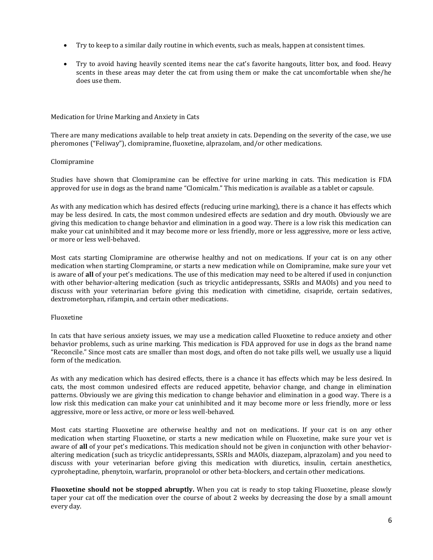- Try to keep to a similar daily routine in which events, such as meals, happen at consistent times.
- Try to avoid having heavily scented items near the cat's favorite hangouts, litter box, and food. Heavy scents in these areas may deter the cat from using them or make the cat uncomfortable when she/he does use them.

#### Medication for Urine Marking and Anxiety in Cats

There are many medications available to help treat anxiety in cats. Depending on the severity of the case, we use pheromones ("Feliway"), clomipramine, fluoxetine, alprazolam, and/or other medications.

#### Clomipramine

Studies have shown that Clomipramine can be effective for urine marking in cats. This medication is FDA approved for use in dogs as the brand name "Clomicalm." This medication is available as a tablet or capsule.

As with any medication which has desired effects (reducing urine marking), there is a chance it has effects which may be less desired. In cats, the most common undesired effects are sedation and dry mouth. Obviously we are giving this medication to change behavior and elimination in a good way. There is a low risk this medication can make your cat uninhibited and it may become more or less friendly, more or less aggressive, more or less active, or more or less well-behaved.

Most cats starting Clomipramine are otherwise healthy and not on medications. If your cat is on any other medication when starting Clompramine, or starts a new medication while on Clomipramine, make sure your vet is aware of **all** of your pet's medications. The use of this medication may need to be altered if used in conjunction with other behavior-altering medication (such as tricyclic antidepressants, SSRIs and MAOIs) and you need to discuss with your veterinarian before giving this medication with cimetidine, cisapride, certain sedatives, dextrometorphan, rifampin, and certain other medications.

#### Fluoxetine

In cats that have serious anxiety issues, we may use a medication called Fluoxetine to reduce anxiety and other behavior problems, such as urine marking. This medication is FDA approved for use in dogs as the brand name "Reconcile." Since most cats are smaller than most dogs, and often do not take pills well, we usually use a liquid form of the medication.

As with any medication which has desired effects, there is a chance it has effects which may be less desired. In cats, the most common undesired effects are reduced appetite, behavior change, and change in elimination patterns. Obviously we are giving this medication to change behavior and elimination in a good way. There is a low risk this medication can make your cat uninhibited and it may become more or less friendly, more or less aggressive, more or less active, or more or less well-behaved.

Most cats starting Fluoxetine are otherwise healthy and not on medications. If your cat is on any other medication when starting Fluoxetine, or starts a new medication while on Fluoxetine, make sure your vet is aware of **all** of your pet's medications. This medication should not be given in conjunction with other behavioraltering medication (such as tricyclic antidepressants, SSRIs and MAOIs, diazepam, alprazolam) and you need to discuss with your veterinarian before giving this medication with diuretics, insulin, certain anesthetics, cyproheptadine, phenytoin, warfarin, propranolol or other beta-blockers, and certain other medications.

**Fluoxetine should not be stopped abruptly.** When you cat is ready to stop taking Fluoxetine, please slowly taper your cat off the medication over the course of about 2 weeks by decreasing the dose by a small amount every day.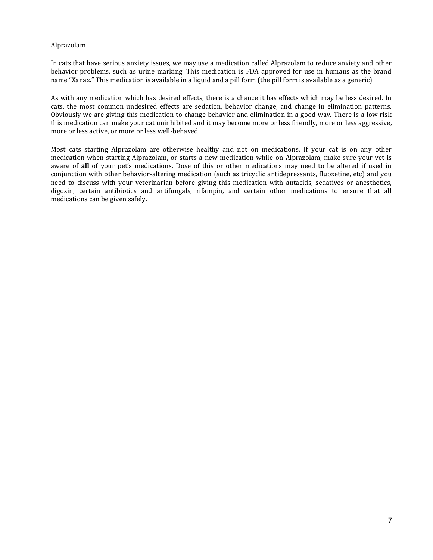### Alprazolam

In cats that have serious anxiety issues, we may use a medication called Alprazolam to reduce anxiety and other behavior problems, such as urine marking. This medication is FDA approved for use in humans as the brand name "Xanax." This medication is available in a liquid and a pill form (the pill form is available as a generic).

As with any medication which has desired effects, there is a chance it has effects which may be less desired. In cats, the most common undesired effects are sedation, behavior change, and change in elimination patterns. Obviously we are giving this medication to change behavior and elimination in a good way. There is a low risk this medication can make your cat uninhibited and it may become more or less friendly, more or less aggressive, more or less active, or more or less well-behaved.

Most cats starting Alprazolam are otherwise healthy and not on medications. If your cat is on any other medication when starting Alprazolam, or starts a new medication while on Alprazolam, make sure your vet is aware of **all** of your pet's medications. Dose of this or other medications may need to be altered if used in conjunction with other behavior-altering medication (such as tricyclic antidepressants, fluoxetine, etc) and you need to discuss with your veterinarian before giving this medication with antacids, sedatives or anesthetics, digoxin, certain antibiotics and antifungals, rifampin, and certain other medications to ensure that all medications can be given safely.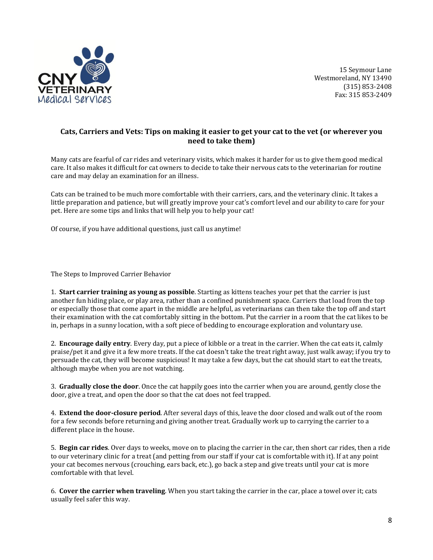

# **Cats, Carriers and Vets: Tips on making it easier to get your cat to the vet (or wherever you need to take them)**

Many cats are fearful of car rides and veterinary visits, which makes it harder for us to give them good medical care. It also makes it difficult for cat owners to decide to take their nervous cats to the veterinarian for routine care and may delay an examination for an illness.

Cats can be trained to be much more comfortable with their carriers, cars, and the veterinary clinic. It takes a little preparation and patience, but will greatly improve your cat's comfort level and our ability to care for your pet. Here are some tips and links that will help you to help your cat!

Of course, if you have additional questions, just call us anytime!

The Steps to Improved Carrier Behavior

1. **Start carrier training as young as possible**. Starting as kittens teaches your pet that the carrier is just another fun hiding place, or play area, rather than a confined punishment space. Carriers that load from the top or especially those that come apart in the middle are helpful, as veterinarians can then take the top off and start their examination with the cat comfortably sitting in the bottom. Put the carrier in a room that the cat likes to be in, perhaps in a sunny location, with a soft piece of bedding to encourage exploration and voluntary use.

2. **Encourage daily entry**. Every day, put a piece of kibble or a treat in the carrier. When the cat eats it, calmly praise/pet it and give it a few more treats. If the cat doesn't take the treat right away, just walk away; if you try to persuade the cat, they will become suspicious! It may take a few days, but the cat should start to eat the treats, although maybe when you are not watching.

3. **Gradually close the door**. Once the cat happily goes into the carrier when you are around, gently close the door, give a treat, and open the door so that the cat does not feel trapped.

4. **Extend the door-closure period**. After several days of this, leave the door closed and walk out of the room for a few seconds before returning and giving another treat. Gradually work up to carrying the carrier to a different place in the house.

5. **Begin car rides**. Over days to weeks, move on to placing the carrier in the car, then short car rides, then a ride to our veterinary clinic for a treat (and petting from our staff if your cat is comfortable with it). If at any point your cat becomes nervous (crouching, ears back, etc.), go back a step and give treats until your cat is more comfortable with that level.

6. **Cover the carrier when traveling**. When you start taking the carrier in the car, place a towel over it; cats usually feel safer this way.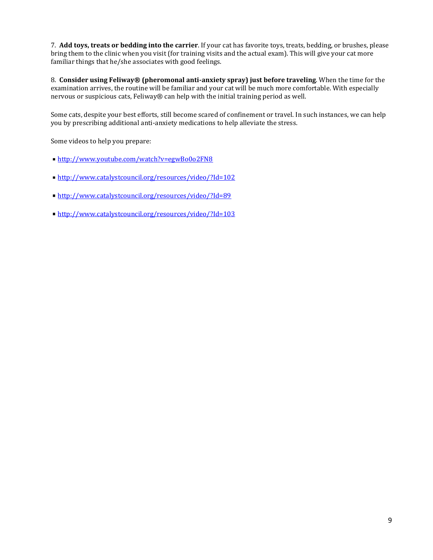7. **Add toys, treats or bedding into the carrier**. If your cat has favorite toys, treats, bedding, or brushes, please bring them to the clinic when you visit (for training visits and the actual exam). This will give your cat more familiar things that he/she associates with good feelings.

8. **Consider using Feliway® (pheromonal anti-anxiety spray) just before traveling**. When the time for the examination arrives, the routine will be familiar and your cat will be much more comfortable. With especially nervous or suspicious cats, Feliway® can help with the initial training period as well.

Some cats, despite your best efforts, still become scared of confinement or travel. In such instances, we can help you by prescribing additional anti-anxiety medications to help alleviate the stress.

Some videos to help you prepare:

- <http://www.youtube.com/watch?v=egwBo0o2FN8>
- <http://www.catalystcouncil.org/resources/video/?Id=102>
- <http://www.catalystcouncil.org/resources/video/?Id=89>
- <http://www.catalystcouncil.org/resources/video/?Id=103>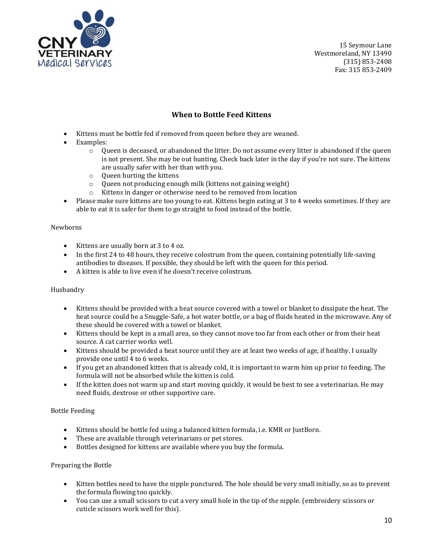

# **When to Bottle Feed Kittens**

- Kittens must be bottle fed if removed from queen before they are weaned.
- Examples:
	- o Queen is deceased, or abandoned the litter. Do not assume every litter is abandoned if the queen is not present. She may be out hunting. Check back later in the day if you're not sure. The kittens are usually safer with her than with you.
	- o Queen hurting the kittens
	- o Queen not producing enough milk (kittens not gaining weight)
	- o Kittens in danger or otherwise need to be removed from location
- Please make sure kittens are too young to eat. Kittens begin eating at 3 to 4 weeks sometimes. If they are able to eat it is safer for them to go straight to food instead of the bottle.

### Newborns

- Kittens are usually born at 3 to 4 oz.
- In the first 24 to 48 hours, they receive colostrum from the queen, containing potentially life-saving antibodies to diseases. If possible, they should be left with the queen for this period.
- A kitten is able to live even if he doesn't receive colostrum.

### Husbandry

- Kittens should be provided with a heat source covered with a towel or blanket to dissipate the heat. The heat source could be a Snuggle-Safe, a hot water bottle, or a bag of fluids heated in the microwave. Any of these should be covered with a towel or blanket.
- Kittens should be kept in a small area, so they cannot move too far from each other or from their heat source. A cat carrier works well.
- Kittens should be provided a heat source until they are at least two weeks of age, if healthy. I usually provide one until 4 to 6 weeks.
- If you get an abandoned kitten that is already cold, it is important to warm him up prior to feeding. The formula will not be absorbed while the kitten is cold.
- If the kitten does not warm up and start moving quickly, it would be best to see a veterinarian. He may need fluids, dextrose or other supportive care.

### Bottle Feeding

- Kittens should be bottle fed using a balanced kitten formula, i.e. KMR or JustBorn.
- These are available through veterinarians or pet stores.
- Bottles designed for kittens are available where you buy the formula.

### Preparing the Bottle

- Kitten bottles need to have the nipple punctured. The hole should be very small initially, so as to prevent the formula flowing too quickly.
- You can use a small scissors to cut a very small hole in the tip of the nipple. (embroidery scissors or cuticle scissors work well for this).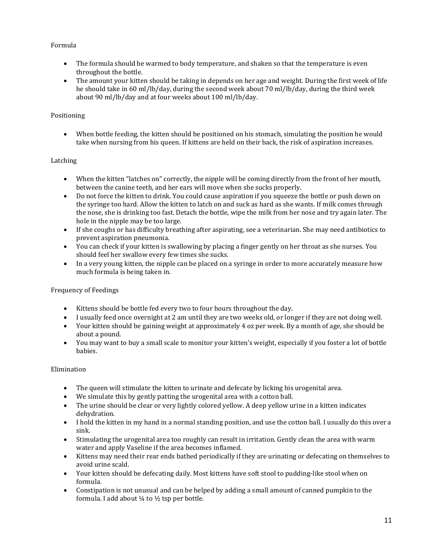# Formula

- The formula should be warmed to body temperature, and shaken so that the temperature is even throughout the bottle.
- The amount your kitten should be taking in depends on her age and weight. During the first week of life he should take in 60 ml/lb/day, during the second week about 70 ml/lb/day, during the third week about 90 ml/lb/day and at four weeks about 100 ml/lb/day.

## Positioning

 When bottle feeding, the kitten should be positioned on his stomach, simulating the position he would take when nursing from his queen. If kittens are held on their back, the risk of aspiration increases.

# Latching

- When the kitten "latches on" correctly, the nipple will be coming directly from the front of her mouth, between the canine teeth, and her ears will move when she sucks properly.
- Do not force the kitten to drink. You could cause aspiration if you squeeze the bottle or push down on the syringe too hard. Allow the kitten to latch on and suck as hard as she wants. If milk comes through the nose, she is drinking too fast. Detach the bottle, wipe the milk from her nose and try again later. The hole in the nipple may be too large.
- If she coughs or has difficulty breathing after aspirating, see a veterinarian. She may need antibiotics to prevent aspiration pneumonia.
- You can check if your kitten is swallowing by placing a finger gently on her throat as she nurses. You should feel her swallow every few times she sucks.
- In a very young kitten, the nipple can be placed on a syringe in order to more accurately measure how much formula is being taken in.

## Frequency of Feedings

- Kittens should be bottle fed every two to four hours throughout the day.
- I usually feed once overnight at 2 am until they are two weeks old, or longer if they are not doing well.
- Your kitten should be gaining weight at approximately 4 oz per week. By a month of age, she should be about a pound.
- You may want to buy a small scale to monitor your kitten's weight, especially if you foster a lot of bottle babies.

## Elimination

- The queen will stimulate the kitten to urinate and defecate by licking his urogenital area.
- We simulate this by gently patting the urogenital area with a cotton ball.
- The urine should be clear or very lightly colored yellow. A deep yellow urine in a kitten indicates dehydration.
- I hold the kitten in my hand in a normal standing position, and use the cotton ball. I usually do this over a sink.
- Stimulating the urogenital area too roughly can result in irritation. Gently clean the area with warm water and apply Vaseline if the area becomes inflamed.
- Kittens may need their rear ends bathed periodically if they are urinating or defecating on themselves to avoid urine scald.
- Your kitten should be defecating daily. Most kittens have soft stool to pudding-like stool when on formula.
- Constipation is not unusual and can be helped by adding a small amount of canned pumpkin to the formula. I add about  $\frac{1}{4}$  to  $\frac{1}{2}$  tsp per bottle.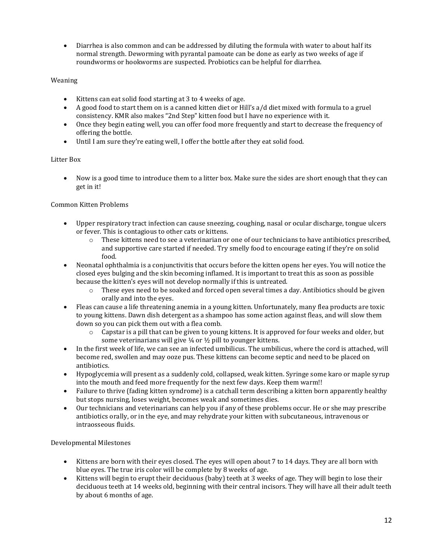Diarrhea is also common and can be addressed by diluting the formula with water to about half its normal strength. Deworming with pyrantal pamoate can be done as early as two weeks of age if roundworms or hookworms are suspected. Probiotics can be helpful for diarrhea.

# Weaning

- Kittens can eat solid food starting at 3 to 4 weeks of age.
- A good food to start them on is a canned kitten diet or Hill's a/d diet mixed with formula to a gruel consistency. KMR also makes "2nd Step" kitten food but I have no experience with it.
- Once they begin eating well, you can offer food more frequently and start to decrease the frequency of offering the bottle.
- Until I am sure they're eating well, I offer the bottle after they eat solid food.

# Litter Box

 Now is a good time to introduce them to a litter box. Make sure the sides are short enough that they can get in it!

# Common Kitten Problems

- Upper respiratory tract infection can cause sneezing, coughing, nasal or ocular discharge, tongue ulcers or fever. This is contagious to other cats or kittens.
	- $\circ$  These kittens need to see a veterinarian or one of our technicians to have antibiotics prescribed, and supportive care started if needed. Try smelly food to encourage eating if they're on solid food.
- Neonatal ophthalmia is a conjunctivitis that occurs before the kitten opens her eyes. You will notice the closed eyes bulging and the skin becoming inflamed. It is important to treat this as soon as possible because the kitten's eyes will not develop normally if this is untreated.
	- $\circ$  These eyes need to be soaked and forced open several times a day. Antibiotics should be given orally and into the eyes.
- Fleas can cause a life threatening anemia in a young kitten. Unfortunately, many flea products are toxic to young kittens. Dawn dish detergent as a shampoo has some action against fleas, and will slow them down so you can pick them out with a flea comb.
	- $\circ$  Capstar is a pill that can be given to young kittens. It is approved for four weeks and older, but some veterinarians will give  $\frac{1}{4}$  or  $\frac{1}{2}$  pill to younger kittens.
- In the first week of life, we can see an infected umbilicus. The umbilicus, where the cord is attached, will become red, swollen and may ooze pus. These kittens can become septic and need to be placed on antibiotics.
- Hypoglycemia will present as a suddenly cold, collapsed, weak kitten. Syringe some karo or maple syrup into the mouth and feed more frequently for the next few days. Keep them warm!!
- Failure to thrive (fading kitten syndrome) is a catchall term describing a kitten born apparently healthy but stops nursing, loses weight, becomes weak and sometimes dies.
- Our technicians and veterinarians can help you if any of these problems occur. He or she may prescribe antibiotics orally, or in the eye, and may rehydrate your kitten with subcutaneous, intravenous or intraosseous fluids.

## Developmental Milestones

- Kittens are born with their eyes closed. The eyes will open about 7 to 14 days. They are all born with blue eyes. The true iris color will be complete by 8 weeks of age.
- Kittens will begin to erupt their deciduous (baby) teeth at 3 weeks of age. They will begin to lose their deciduous teeth at 14 weeks old, beginning with their central incisors. They will have all their adult teeth by about 6 months of age.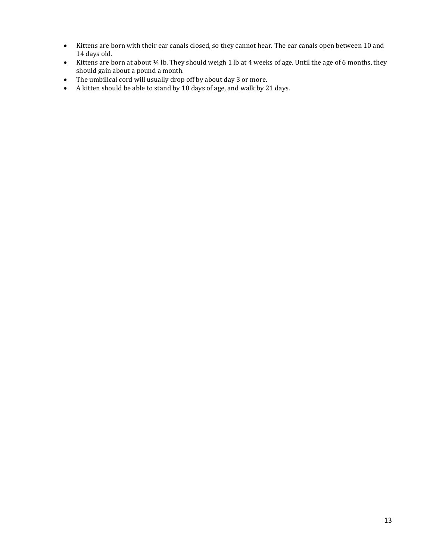- Kittens are born with their ear canals closed, so they cannot hear. The ear canals open between 10 and 14 days old.
- Kittens are born at about 1/4 lb. They should weigh 1 lb at 4 weeks of age. Until the age of 6 months, they should gain about a pound a month.
- The umbilical cord will usually drop off by about day 3 or more.
- A kitten should be able to stand by 10 days of age, and walk by 21 days.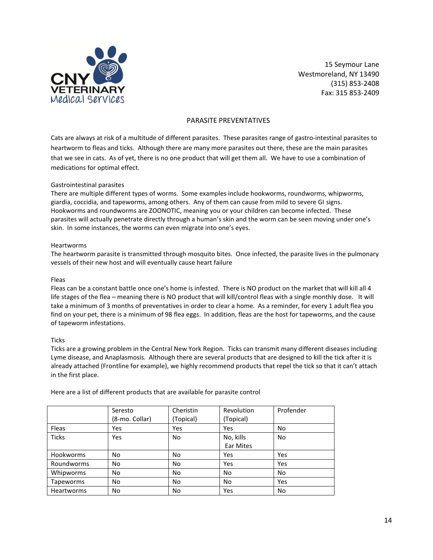

### PARASITE PREVENTATIVES

Cats are always at risk of a multitude of different parasites. These parasites range of gastro-intestinal parasites to heartworm to fleas and ticks. Although there are many more parasites out there, these are the main parasites that we see in cats. As of yet, there is no one product that will get them all. We have to use a combination of medications for optimal effect.

#### Gastrointestinal parasites

There are multiple different types of worms. Some examples include hookworms, roundworms, whipworms, giardia, coccidia, and tapeworms, among others. Any of them can cause from mild to severe GI signs. Hookworms and roundworms are ZOONOTIC, meaning you or your children can become infected. These parasites will actually penetrate directly through a human's skin and the worm can be seen moving under one's skin. In some instances, the worms can even migrate into one's eyes.

#### Heartworms

The heartworm parasite is transmitted through mosquito bites. Once infected, the parasite lives in the pulmonary vessels of their new host and will eventually cause heart failure

#### Fleas

Fleas can be a constant battle once one's home is infested. There is NO product on the market that will kill all 4 life stages of the flea – meaning there is NO product that will kill/control fleas with a single monthly dose. It will take a minimum of 3 months of preventatives in order to clear a home. As a reminder, for every 1 adult flea you find on your pet, there is a minimum of 98 flea eggs. In addition, fleas are the host for tapeworms, and the cause of tapeworm infestations.

### **Ticks**

Ticks are a growing problem in the Central New York Region. Ticks can transmit many different diseases including Lyme disease, and Anaplasmosis. Although there are several products that are designed to kill the tick after it is already attached (Frontline for example), we highly recommend products that repel the tick so that it can't attach in the first place.

|                   | Seresto<br>(8-mo. Collar) | Cheristin<br>(Topical) | Revolution<br>(Topical) | Profender |
|-------------------|---------------------------|------------------------|-------------------------|-----------|
| Fleas             | Yes                       | Yes                    | Yes                     | No        |
| <b>Ticks</b>      | Yes                       | No                     | No, kills               | No        |
|                   |                           |                        | Ear Mites               |           |
| <b>Hookworms</b>  | No.                       | No                     | Yes                     | Yes       |
| Roundworms        | N <sub>o</sub>            | <b>No</b>              | Yes                     | Yes       |
| Whipworms         | <b>No</b>                 | <b>No</b>              | <b>No</b>               | No        |
| Tapeworms         | No                        | No                     | <b>No</b>               | Yes       |
| <b>Heartworms</b> | No                        | No                     | Yes                     | No        |

Here are a list of different products that are available for parasite control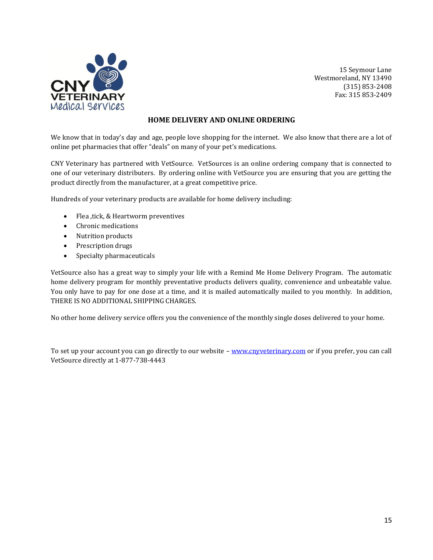

## **HOME DELIVERY AND ONLINE ORDERING**

We know that in today's day and age, people love shopping for the internet. We also know that there are a lot of online pet pharmacies that offer "deals" on many of your pet's medications.

CNY Veterinary has partnered with VetSource. VetSources is an online ordering company that is connected to one of our veterinary distributers. By ordering online with VetSource you are ensuring that you are getting the product directly from the manufacturer, at a great competitive price.

Hundreds of your veterinary products are available for home delivery including:

- Flea ,tick, & Heartworm preventives
- Chronic medications
- Nutrition products
- Prescription drugs
- Specialty pharmaceuticals

VetSource also has a great way to simply your life with a Remind Me Home Delivery Program. The automatic home delivery program for monthly preventative products delivers quality, convenience and unbeatable value. You only have to pay for one dose at a time, and it is mailed automatically mailed to you monthly. In addition, THERE IS NO ADDITIONAL SHIPPING CHARGES.

No other home delivery service offers you the convenience of the monthly single doses delivered to your home.

To set up your account you can go directly to our website – [www.cnyveterinary.com](http://www.cnyveterinary.com/) or if you prefer, you can call VetSource directly at 1-877-738-4443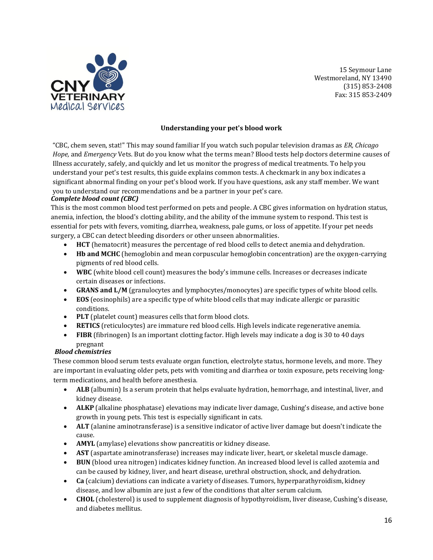

### **Understanding your pet's blood work**

"CBC, chem seven, stat!" This may sound familiar If you watch such popular television dramas as *ER, Chicago Hope,* and *Emergency* Vets. But do you know what the terms mean? Blood tests help doctors determine causes of Illness accurately, safely, and quickly and let us monitor the progress of medical treatments. To help you understand your pet's test results, this guide explains common tests. A checkmark in any box indicates a significant abnormal finding on your pet's blood work. If you have questions, ask any staff member. We want you to understand our recommendations and be a partner in your pet's care.

### *Complete blood count (CBC)*

This is the most common blood test performed on pets and people. A CBC gives information on hydration status, anemia, infection, the blood's clotting ability, and the ability of the immune system to respond. This test is essential for pets with fevers, vomiting, diarrhea, weakness, pale gums, or loss of appetite. If your pet needs surgery, a CBC can detect bleeding disorders or other unseen abnormalities.

- **HCT** (hematocrit) measures the percentage of red blood cells to detect anemia and dehydration.
- **Hb and MCHC** (hemoglobin and mean corpuscular hemoglobin concentration) are the oxygen-carrying pigments of red blood cells.
- **WBC** (white blood cell count) measures the body's immune cells. Increases or decreases indicate certain diseases or infections.
- **GRANS and L/M** (granulocytes and lymphocytes/monocytes) are specific types of white blood cells.
- **EOS** (eosinophils) are a specific type of white blood cells that may indicate allergic or parasitic conditions.
- **PLT** (platelet count) measures cells that form blood clots.
- **RETICS** (reticulocytes) are immature red blood cells. High levels indicate regenerative anemia.
- **FIBR** (fibrinogen) Is an important clotting factor. High levels may indicate a dog is 30 to 40 days pregnant

## *Blood chemistries*

These common blood serum tests evaluate organ function, electrolyte status, hormone levels, and more. They are important in evaluating older pets, pets with vomiting and diarrhea or toxin exposure, pets receiving longterm medications, and health before anesthesia.

- **ALB** (albumin) Is a serum protein that helps evaluate hydration, hemorrhage, and intestinal, liver, and kidney disease.
- **ALKP** (alkaline phosphatase) elevations may indicate liver damage, Cushing's disease, and active bone growth in young pets. This test is especially significant in cats.
- **ALT** (alanine aminotransferase) is a sensitive indicator of active liver damage but doesn't indicate the cause.
- **AMYL** (amylase) elevations show pancreatitis or kidney disease.
- **AST** (aspartate aminotransferase) increases may indicate liver, heart, or skeletal muscle damage.
- **BUN** (blood urea nitrogen) indicates kidney function. An increased blood level is called azotemia and can be caused by kidney, liver, and heart disease, urethral obstruction, shock, and dehydration.
- **Ca** (calcium) deviations can indicate a variety of diseases. Tumors, hyperparathyroidism, kidney disease, and low albumin are just a few of the conditions that alter serum calcium.
- **CHOL** (cholesterol) is used to supplement diagnosis of hypothyroidism, liver disease, Cushing's disease, and diabetes mellitus.